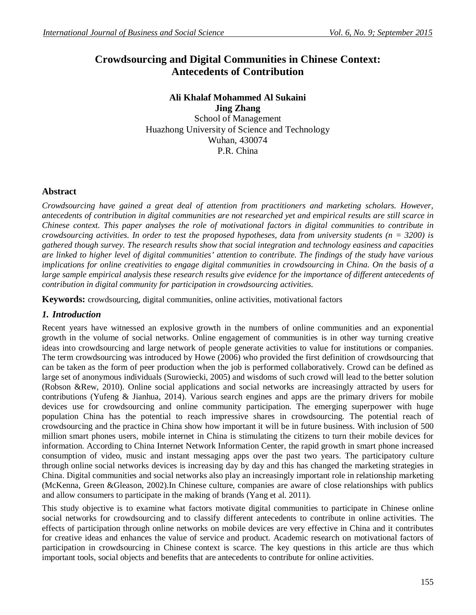# **Crowdsourcing and Digital Communities in Chinese Context: Antecedents of Contribution**

## **Ali Khalaf Mohammed Al Sukaini Jing Zhang**

School of Management Huazhong University of Science and Technology Wuhan, 430074 P.R. China

# **Abstract**

*Crowdsourcing have gained a great deal of attention from practitioners and marketing scholars. However, antecedents of contribution in digital communities are not researched yet and empirical results are still scarce in Chinese context. This paper analyses the role of motivational factors in digital communities to contribute in crowdsourcing activities. In order to test the proposed hypotheses, data from university students (n = 3200) is gathered though survey. The research results show that social integration and technology easiness and capacities are linked to higher level of digital communities' attention to contribute. The findings of the study have various implications for online creativities to engage digital communities in crowdsourcing in China. On the basis of a large sample empirical analysis these research results give evidence for the importance of different antecedents of contribution in digital community for participation in crowdsourcing activities.* 

**Keywords:** crowdsourcing, digital communities, online activities, motivational factors

# *1. Introduction*

Recent years have witnessed an explosive growth in the numbers of online communities and an exponential growth in the volume of social networks. Online engagement of communities is in other way turning creative ideas into crowdsourcing and large network of people generate activities to value for institutions or companies. The term crowdsourcing was introduced by Howe (2006) who provided the first definition of crowdsourcing that can be taken as the form of peer production when the job is performed collaboratively. Crowd can be defined as large set of anonymous individuals (Surowiecki, 2005) and wisdoms of such crowd will lead to the better solution (Robson &Rew, 2010). Online social applications and social networks are increasingly attracted by users for contributions (Yufeng & Jianhua, 2014). Various search engines and apps are the primary drivers for mobile devices use for crowdsourcing and online community participation. The emerging superpower with huge population China has the potential to reach impressive shares in crowdsourcing. The potential reach of crowdsourcing and the practice in China show how important it will be in future business. With inclusion of 500 million smart phones users, mobile internet in China is stimulating the citizens to turn their mobile devices for information. According to China Internet Network Information Center, the rapid growth in smart phone increased consumption of video, music and instant messaging apps over the past two years. The participatory culture through online social networks devices is increasing day by day and this has changed the marketing strategies in China. Digital communities and social networks also play an increasingly important role in relationship marketing (McKenna, Green &Gleason, 2002).In Chinese culture, companies are aware of close relationships with publics and allow consumers to participate in the making of brands (Yang et al. 2011).

This study objective is to examine what factors motivate digital communities to participate in Chinese online social networks for crowdsourcing and to classify different antecedents to contribute in online activities. The effects of participation through online networks on mobile devices are very effective in China and it contributes for creative ideas and enhances the value of service and product. Academic research on motivational factors of participation in crowdsourcing in Chinese context is scarce. The key questions in this article are thus which important tools, social objects and benefits that are antecedents to contribute for online activities.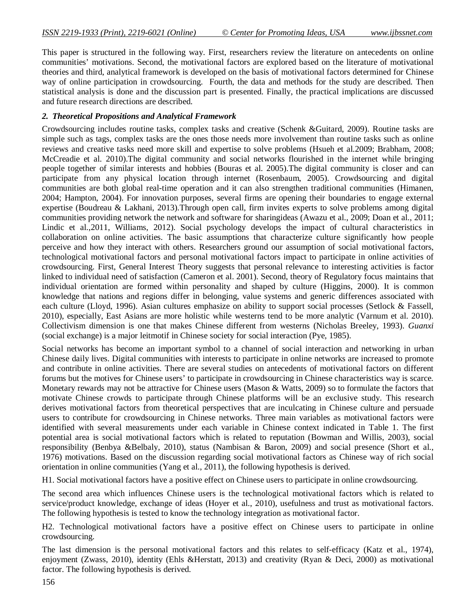This paper is structured in the following way. First, researchers review the literature on antecedents on online communities' motivations. Second, the motivational factors are explored based on the literature of motivational theories and third, analytical framework is developed on the basis of motivational factors determined for Chinese way of online participation in crowdsourcing. Fourth, the data and methods for the study are described. Then statistical analysis is done and the discussion part is presented. Finally, the practical implications are discussed and future research directions are described.

#### *2. Theoretical Propositions and Analytical Framework*

Crowdsourcing includes routine tasks, complex tasks and creative (Schenk &Guitard, 2009). Routine tasks are simple such as tags, complex tasks are the ones those needs more involvement than routine tasks such as online reviews and creative tasks need more skill and expertise to solve problems (Hsueh et al.2009; Brabham, 2008; McCreadie et al. 2010).The digital community and social networks flourished in the internet while bringing people together of similar interests and hobbies (Bouras et al. 2005).The digital community is closer and can participate from any physical location through internet (Rosenbaum, 2005). Crowdsourcing and digital communities are both global real-time operation and it can also strengthen traditional communities (Himanen, 2004; Hampton, 2004). For innovation purposes, several firms are opening their boundaries to engage external expertise (Boudreau & Lakhani, 2013).Through open call, firm invites experts to solve problems among digital communities providing network the network and software for sharingideas (Awazu et al., 2009; Doan et al., 2011; Lindic et al.,2011, Williams, 2012). Social psychology develops the impact of cultural characteristics in collaboration on online activities. The basic assumptions that characterize culture significantly how people perceive and how they interact with others. Researchers ground our assumption of social motivational factors, technological motivational factors and personal motivational factors impact to participate in online activities of crowdsourcing. First, General Interest Theory suggests that personal relevance to interesting activities is factor linked to individual need of satisfaction (Cameron et al. 2001). Second, theory of Regulatory focus maintains that individual orientation are formed within personality and shaped by culture (Higgins, 2000). It is common knowledge that nations and regions differ in belonging, value systems and generic differences associated with each culture (Lloyd, 1996). Asian cultures emphasize on ability to support social processes (Setlock & Fassell, 2010), especially, East Asians are more holistic while westerns tend to be more analytic (Varnum et al. 2010). Collectivism dimension is one that makes Chinese different from westerns (Nicholas Breeley, 1993). *Guanxi* (social exchange) is a major leitmotif in Chinese society for social interaction (Pye, 1985).

Social networks has become an important symbol to a channel of social interaction and networking in urban Chinese daily lives. Digital communities with interests to participate in online networks are increased to promote and contribute in online activities. There are several studies on antecedents of motivational factors on different forums but the motives for Chinese users' to participate in crowdsourcing in Chinese characteristics way is scarce. Monetary rewards may not be attractive for Chinese users (Mason & Watts, 2009) so to formulate the factors that motivate Chinese crowds to participate through Chinese platforms will be an exclusive study. This research derives motivational factors from theoretical perspectives that are inculcating in Chinese culture and persuade users to contribute for crowdsourcing in Chinese networks. Three main variables as motivational factors were identified with several measurements under each variable in Chinese context indicated in Table 1. The first potential area is social motivational factors which is related to reputation (Bowman and Willis, 2003), social responsibility (Benbya &Belbaly, 2010), status (Nambisan & Baron, 2009) and social presence (Short et al., 1976) motivations. Based on the discussion regarding social motivational factors as Chinese way of rich social orientation in online communities (Yang et al., 2011), the following hypothesis is derived.

H1. Social motivational factors have a positive effect on Chinese users to participate in online crowdsourcing.

The second area which influences Chinese users is the technological motivational factors which is related to service/product knowledge, exchange of ideas (Hoyer et al., 2010), usefulness and trust as motivational factors. The following hypothesis is tested to know the technology integration as motivational factor.

H2. Technological motivational factors have a positive effect on Chinese users to participate in online crowdsourcing.

The last dimension is the personal motivational factors and this relates to self-efficacy (Katz et al., 1974), enjoyment (Zwass, 2010), identity (Ehls &Herstatt, 2013) and creativity (Ryan & Deci, 2000) as motivational factor. The following hypothesis is derived.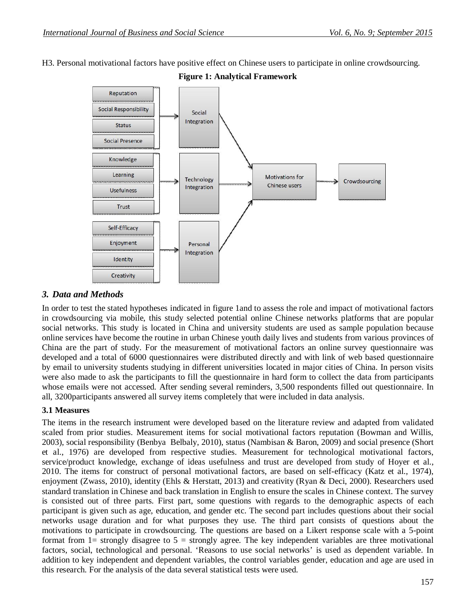H3. Personal motivational factors have positive effect on Chinese users to participate in online crowdsourcing.



**Figure 1: Analytical Framework**

## *3. Data and Methods*

In order to test the stated hypotheses indicated in figure 1and to assess the role and impact of motivational factors in crowdsourcing via mobile, this study selected potential online Chinese networks platforms that are popular social networks. This study is located in China and university students are used as sample population because online services have become the routine in urban Chinese youth daily lives and students from various provinces of China are the part of study. For the measurement of motivational factors an online survey questionnaire was developed and a total of 6000 questionnaires were distributed directly and with link of web based questionnaire by email to university students studying in different universities located in major cities of China. In person visits were also made to ask the participants to fill the questionnaire in hard form to collect the data from participants whose emails were not accessed. After sending several reminders, 3,500 respondents filled out questionnaire. In all, 3200participants answered all survey items completely that were included in data analysis.

## **3.1 Measures**

The items in the research instrument were developed based on the literature review and adapted from validated scaled from prior studies. Measurement items for social motivational factors reputation (Bowman and Willis, 2003), social responsibility (Benbya Belbaly, 2010), status (Nambisan & Baron, 2009) and social presence (Short et al., 1976) are developed from respective studies. Measurement for technological motivational factors, service/product knowledge, exchange of ideas usefulness and trust are developed from study of Hoyer et al., 2010. The items for construct of personal motivational factors, are based on self-efficacy (Katz et al., 1974), enjoyment (Zwass, 2010), identity (Ehls & Herstatt, 2013) and creativity (Ryan & Deci, 2000). Researchers used standard translation in Chinese and back translation in English to ensure the scales in Chinese context. The survey is consisted out of three parts. First part, some questions with regards to the demographic aspects of each participant is given such as age, education, and gender etc. The second part includes questions about their social networks usage duration and for what purposes they use. The third part consists of questions about the motivations to participate in crowdsourcing. The questions are based on a Likert response scale with a 5-point format from  $1=$  strongly disagree to  $5=$  strongly agree. The key independent variables are three motivational factors, social, technological and personal. 'Reasons to use social networks' is used as dependent variable. In addition to key independent and dependent variables, the control variables gender, education and age are used in this research. For the analysis of the data several statistical tests were used.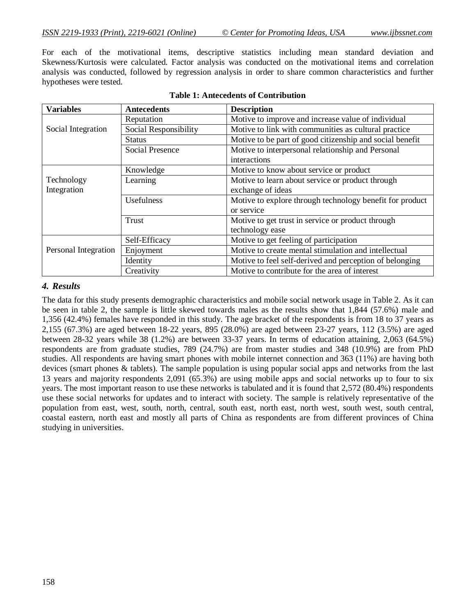For each of the motivational items, descriptive statistics including mean standard deviation and Skewness/Kurtosis were calculated. Factor analysis was conducted on the motivational items and correlation analysis was conducted, followed by regression analysis in order to share common characteristics and further hypotheses were tested.

| <b>Variables</b>     | <b>Antecedents</b>     | <b>Description</b>                                       |  |  |  |  |
|----------------------|------------------------|----------------------------------------------------------|--|--|--|--|
|                      | Reputation             | Motive to improve and increase value of individual       |  |  |  |  |
| Social Integration   | Social Responsibility  | Motive to link with communities as cultural practice     |  |  |  |  |
|                      | <b>Status</b>          | Motive to be part of good citizenship and social benefit |  |  |  |  |
|                      | <b>Social Presence</b> | Motive to interpersonal relationship and Personal        |  |  |  |  |
|                      |                        | interactions                                             |  |  |  |  |
|                      | Knowledge              | Motive to know about service or product                  |  |  |  |  |
| Technology           | Learning               | Motive to learn about service or product through         |  |  |  |  |
| Integration          |                        | exchange of ideas                                        |  |  |  |  |
|                      | Usefulness             | Motive to explore through technology benefit for product |  |  |  |  |
|                      |                        | or service                                               |  |  |  |  |
|                      | Trust                  | Motive to get trust in service or product through        |  |  |  |  |
|                      |                        | technology ease                                          |  |  |  |  |
|                      | Self-Efficacy          | Motive to get feeling of participation                   |  |  |  |  |
| Personal Integration | Enjoyment              | Motive to create mental stimulation and intellectual     |  |  |  |  |
|                      | Identity               | Motive to feel self-derived and perception of belonging  |  |  |  |  |
|                      | Creativity             | Motive to contribute for the area of interest            |  |  |  |  |

#### **Table 1: Antecedents of Contribution**

### *4. Results*

The data for this study presents demographic characteristics and mobile social network usage in Table 2. As it can be seen in table 2, the sample is little skewed towards males as the results show that 1,844 (57.6%) male and 1,356 (42.4%) females have responded in this study. The age bracket of the respondents is from 18 to 37 years as 2,155 (67.3%) are aged between 18-22 years, 895 (28.0%) are aged between 23-27 years, 112 (3.5%) are aged between 28-32 years while 38 (1.2%) are between 33-37 years. In terms of education attaining, 2,063 (64.5%) respondents are from graduate studies, 789 (24.7%) are from master studies and 348 (10.9%) are from PhD studies. All respondents are having smart phones with mobile internet connection and 363 (11%) are having both devices (smart phones & tablets). The sample population is using popular social apps and networks from the last 13 years and majority respondents 2,091 (65.3%) are using mobile apps and social networks up to four to six years. The most important reason to use these networks is tabulated and it is found that 2,572 (80.4%) respondents use these social networks for updates and to interact with society. The sample is relatively representative of the population from east, west, south, north, central, south east, north east, north west, south west, south central, coastal eastern, north east and mostly all parts of China as respondents are from different provinces of China studying in universities.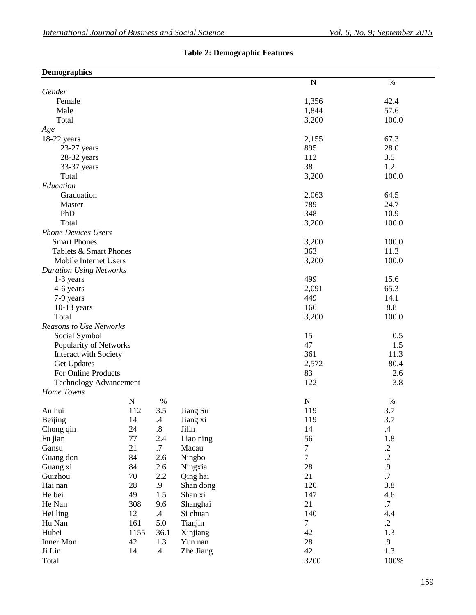# **Table 2: Demographic Features**

| <b>Demographics</b>            |           |                   |                   |                 |            |
|--------------------------------|-----------|-------------------|-------------------|-----------------|------------|
|                                |           |                   |                   | N               | $\%$       |
| Gender                         |           |                   |                   |                 |            |
| Female                         |           |                   |                   | 1,356           | 42.4       |
| Male                           |           |                   |                   | 1,844           | 57.6       |
| Total                          |           |                   |                   | 3,200           | 100.0      |
| Age                            |           |                   |                   |                 |            |
| $18-22$ years                  |           |                   |                   | 2,155           | 67.3       |
| $23-27$ years                  |           |                   |                   | 895             | 28.0       |
| 28-32 years                    |           |                   |                   | 112             | 3.5        |
| 33-37 years                    |           |                   |                   | 38              | 1.2        |
| Total                          |           |                   |                   | 3,200           | 100.0      |
| Education                      |           |                   |                   |                 |            |
| Graduation                     |           | 2,063             | 64.5              |                 |            |
| Master                         |           |                   |                   | 789             | 24.7       |
| PhD                            |           |                   |                   | 348             | 10.9       |
| Total                          |           |                   |                   | 3,200           | 100.0      |
| <b>Phone Devices Users</b>     |           |                   |                   |                 |            |
| <b>Smart Phones</b>            |           |                   |                   | 3,200           | 100.0      |
| Tablets & Smart Phones         |           |                   |                   | 363             | 11.3       |
| Mobile Internet Users          |           |                   |                   | 3,200           | 100.0      |
| <b>Duration Using Networks</b> |           |                   |                   |                 |            |
|                                |           |                   |                   | 499             | 15.6       |
| 1-3 years<br>4-6 years         |           |                   |                   | 2,091           | 65.3       |
| 7-9 years                      |           |                   |                   | 449             | 14.1       |
|                                |           | 166               | 8.8               |                 |            |
| $10-13$ years<br>Total         |           |                   |                   | 3,200           | 100.0      |
| Reasons to Use Networks        |           |                   |                   |                 |            |
| Social Symbol                  |           |                   |                   | 15              | 0.5        |
| Popularity of Networks         |           |                   |                   | 47              | 1.5        |
| <b>Interact with Society</b>   |           |                   |                   | 361             | 11.3       |
| Get Updates                    |           |                   |                   | 2,572           | 80.4       |
| For Online Products            |           |                   |                   | 83              | 2.6        |
| <b>Technology Advancement</b>  |           |                   |                   | 122             | 3.8        |
| Home Towns                     |           |                   |                   |                 |            |
|                                | ${\bf N}$ | $\%$              |                   | ${\bf N}$       | %          |
| An hui                         | 112       | 3.5               |                   | 119             | 3.7        |
|                                | 14        | $\mathcal{A}$     | Jiang Su          | 119             | 3.7        |
| Beijing                        | 24        | $\boldsymbol{.8}$ | Jiang xi<br>Jilin | 14              | $\cdot$ 4  |
| Chong qin<br>Fu jian           | 77        | 2.4               | Liao ning         | 56              | 1.8        |
| Gansu                          | 21        | $.7\,$            | Macau             | $7\phantom{.0}$ | $\cdot$ .2 |
| Guang don                      | 84        | 2.6               |                   | $\overline{7}$  | $\cdot$    |
|                                |           |                   | Ningbo            |                 |            |
| Guang xi                       | 84        | 2.6               | Ningxia           | 28              | .9         |
| Guizhou                        | 70        | 2.2               | Qing hai          | 21              | $.7\,$     |
| Hai nan                        | 28        | .9                | Shan dong         | 120             | 3.8        |
| He bei                         | 49        | 1.5               | Shan xi           | 147             | 4.6        |
| He Nan                         | 308       | 9.6               | Shanghai          | 21              | $.7\,$     |
| Hei ling                       | 12        | $.4\,$            | Si chuan          | 140             | 4.4        |
| Hu Nan                         | 161       | 5.0               | Tianjin           | $\overline{7}$  | $\cdot$ .2 |
| Hubei                          | 1155      | 36.1              | Xinjiang          | 42              | 1.3        |
| Inner Mon                      | 42        | 1.3               | Yun nan           | $28\,$          | .9         |
| Ji Lin                         | 14        | $.4\,$            | Zhe Jiang         | 42              | 1.3        |
| Total                          |           |                   |                   | 3200            | 100%       |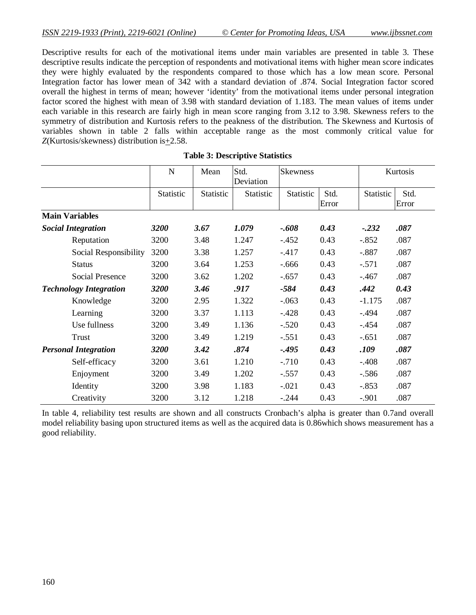Descriptive results for each of the motivational items under main variables are presented in table 3. These descriptive results indicate the perception of respondents and motivational items with higher mean score indicates they were highly evaluated by the respondents compared to those which has a low mean score. Personal Integration factor has lower mean of 342 with a standard deviation of .874. Social Integration factor scored overall the highest in terms of mean; however 'identity' from the motivational items under personal integration factor scored the highest with mean of 3.98 with standard deviation of 1.183. The mean values of items under each variable in this research are fairly high in mean score ranging from 3.12 to 3.98. Skewness refers to the symmetry of distribution and Kurtosis refers to the peakness of the distribution. The Skewness and Kurtosis of variables shown in table 2 falls within acceptable range as the most commonly critical value for *Z*(Kurtosis/skewness) distribution is+2.58.

|                               | $\mathbf N$ | Mean      | Std.<br>Deviation | <b>Skewness</b> |               |           | Kurtosis      |
|-------------------------------|-------------|-----------|-------------------|-----------------|---------------|-----------|---------------|
|                               | Statistic   | Statistic | Statistic         | Statistic       | Std.<br>Error | Statistic | Std.<br>Error |
| <b>Main Variables</b>         |             |           |                   |                 |               |           |               |
| <b>Social Integration</b>     | 3200        | 3.67      | 1.079             | $-0.608$        | 0.43          | $-.232$   | .087          |
| Reputation                    | 3200        | 3.48      | 1.247             | $-.452$         | 0.43          | $-.852$   | .087          |
| Social Responsibility         | 3200        | 3.38      | 1.257             | $-417$          | 0.43          | $-.887$   | .087          |
| <b>Status</b>                 | 3200        | 3.64      | 1.253             | $-.666$         | 0.43          | $-.571$   | .087          |
| <b>Social Presence</b>        | 3200        | 3.62      | 1.202             | $-.657$         | 0.43          | $-.467$   | .087          |
| <b>Technology Integration</b> | 3200        | 3.46      | .917              | $-584$          | 0.43          | .442      | 0.43          |
| Knowledge                     | 3200        | 2.95      | 1.322             | $-.063$         | 0.43          | $-1.175$  | .087          |
| Learning                      | 3200        | 3.37      | 1.113             | $-.428$         | 0.43          | $-.494$   | .087          |
| Use fullness                  | 3200        | 3.49      | 1.136             | $-.520$         | 0.43          | $-.454$   | .087          |
| Trust                         | 3200        | 3.49      | 1.219             | $-.551$         | 0.43          | $-.651$   | .087          |
| <b>Personal Integration</b>   | 3200        | 3.42      | .874              | $-0.495$        | 0.43          | .109      | .087          |
| Self-efficacy                 | 3200        | 3.61      | 1.210             | $-.710$         | 0.43          | $-.408$   | .087          |
| Enjoyment                     | 3200        | 3.49      | 1.202             | $-.557$         | 0.43          | $-.586$   | .087          |
| Identity                      | 3200        | 3.98      | 1.183             | $-.021$         | 0.43          | $-.853$   | .087          |
| Creativity                    | 3200        | 3.12      | 1.218             | $-.244$         | 0.43          | $-.901$   | .087          |

#### **Table 3: Descriptive Statistics**

In table 4, reliability test results are shown and all constructs Cronbach's alpha is greater than 0.7and overall model reliability basing upon structured items as well as the acquired data is 0.86which shows measurement has a good reliability.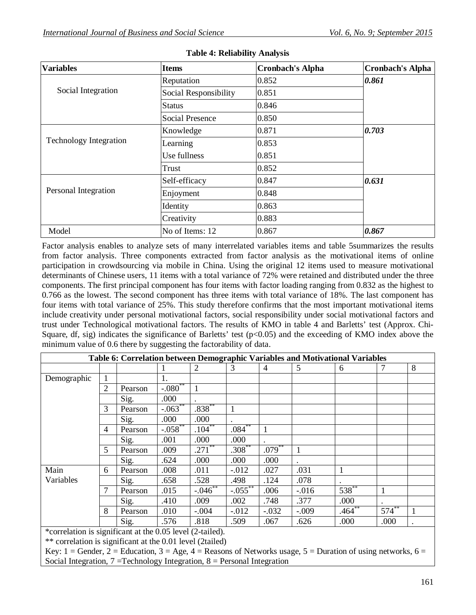| <b>Variables</b>              | <b>Items</b>           | <b>Cronbach's Alpha</b> | <b>Cronbach's Alpha</b> |  |
|-------------------------------|------------------------|-------------------------|-------------------------|--|
|                               | Reputation             | 0.852                   | 0.861                   |  |
| Social Integration            | Social Responsibility  | 0.851                   |                         |  |
|                               | <b>Status</b>          | 0.846                   |                         |  |
|                               | <b>Social Presence</b> | 0.850                   |                         |  |
|                               | Knowledge              | 0.871                   | 0.703                   |  |
| <b>Technology Integration</b> | Learning               | 0.853                   |                         |  |
|                               | Use fullness           | 0.851                   |                         |  |
|                               | Trust                  | 0.852                   |                         |  |
|                               | Self-efficacy          | 0.847                   | 0.631                   |  |
| Personal Integration          | Enjoyment              | 0.848                   |                         |  |
|                               | Identity               | 0.863                   |                         |  |
|                               | Creativity             | 0.883                   |                         |  |
| Model                         | No of Items: 12        | 0.867                   | 0.867                   |  |

# **Table 4: Reliability Analysis**

Factor analysis enables to analyze sets of many interrelated variables items and table 5summarizes the results from factor analysis. Three components extracted from factor analysis as the motivational items of online participation in crowdsourcing via mobile in China. Using the original 12 items used to measure motivational determinants of Chinese users, 11 items with a total variance of 72% were retained and distributed under the three components. The first principal component has four items with factor loading ranging from 0.832 as the highest to 0.766 as the lowest. The second component has three items with total variance of 18%. The last component has four items with total variance of 25%. This study therefore confirms that the most important motivational items include creativity under personal motivational factors, social responsibility under social motivational factors and trust under Technological motivational factors. The results of KMO in table 4 and Barletts' test (Approx. Chi-Square, df, sig) indicates the significance of Barletts' test ( $p<0.05$ ) and the exceeding of KMO index above the minimum value of 0.6 there by suggesting the factorability of data.

|                                                                    |                |         |              |            |           |                |          | Table 6: Correlation between Demographic Variables and Motivational Variables |            |   |
|--------------------------------------------------------------------|----------------|---------|--------------|------------|-----------|----------------|----------|-------------------------------------------------------------------------------|------------|---|
|                                                                    |                |         |              | 2          | 3         | $\overline{4}$ | 5        | 6                                                                             |            | 8 |
| Demographic                                                        | 1              |         | 1.           |            |           |                |          |                                                                               |            |   |
|                                                                    | $\overline{2}$ | Pearson | $-.080^{**}$ |            |           |                |          |                                                                               |            |   |
|                                                                    |                | Sig.    | .000         |            |           |                |          |                                                                               |            |   |
|                                                                    | 3              | Pearson | $-.063$ **   | $.838***$  |           |                |          |                                                                               |            |   |
|                                                                    |                | Sig.    | .000         | .000       |           |                |          |                                                                               |            |   |
|                                                                    | $\overline{4}$ | Pearson | $-.058$ **   | $.104***$  | $.084***$ |                |          |                                                                               |            |   |
|                                                                    |                | Sig.    | .001         | .000       | .000      |                |          |                                                                               |            |   |
|                                                                    | 5              | Pearson | .009         | $.271$ **  | $.308***$ | $.079***$      |          |                                                                               |            |   |
|                                                                    |                | Sig.    | .624         | .000       | .000      | .000           |          |                                                                               |            |   |
| Main                                                               | 6              | Pearson | .008         | .011       | $-0.012$  | .027           | .031     |                                                                               |            |   |
| Variables                                                          |                | Sig.    | .658         | .528       | .498      | .124           | .078     |                                                                               |            |   |
|                                                                    |                | Pearson | .015         | $-.046$ ** | $-.055$   | .006           | $-0.016$ | $538^{**}$                                                                    |            |   |
|                                                                    |                | Sig.    | .410         | .009       | .002      | .748           | .377     | .000                                                                          |            |   |
|                                                                    | 8              | Pearson | .010         | $-.004$    | $-0.012$  | $-.032$        | $-.009$  | $.464**$                                                                      | $574^{**}$ | 1 |
|                                                                    |                | Sig.    | .576         | .818       | .509      | .067           | .626     | .000                                                                          | .000       |   |
| *correlation is significant at the 0.05 level (2-tailed).          |                |         |              |            |           |                |          |                                                                               |            |   |
| $**$ completion is significant at the 0.01 level $(2\text{total})$ |                |         |              |            |           |                |          |                                                                               |            |   |

correlation is significant at the 0.01 level (2tailed)

Key: 1 = Gender, 2 = Education, 3 = Age, 4 = Reasons of Networks usage, 5 = Duration of using networks, 6 = Social Integration,  $7 = Technology Integration, 8 = Personal Integration$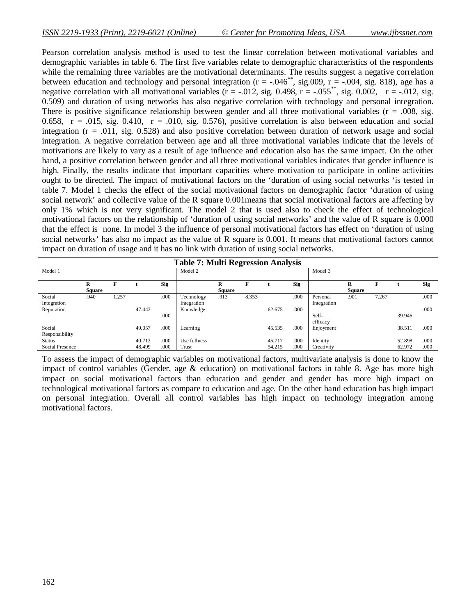Pearson correlation analysis method is used to test the linear correlation between motivational variables and demographic variables in table 6. The first five variables relate to demographic characteristics of the respondents while the remaining three variables are the motivational determinants. The results suggest a negative correlation between education and technology and personal integration ( $r = -.046^{**}$ , sig.009,  $r = -.004$ , sig. 818), age has a negative correlation with all motivational variables ( $r = -0.012$ , sig. 0.498,  $r = -0.055^{**}$ , sig. 0.002,  $r = -0.012$ , sig. 0.509) and duration of using networks has also negative correlation with technology and personal integration. There is positive significance relationship between gender and all three motivational variables ( $r = .008$ , sig. 0.658,  $r = .015$ , sig. 0.410,  $r = .010$ , sig. 0.576), positive correlation is also between education and social integration (r = .011, sig. 0.528) and also positive correlation between duration of network usage and social integration. A negative correlation between age and all three motivational variables indicate that the levels of motivations are likely to vary as a result of age influence and education also has the same impact. On the other hand, a positive correlation between gender and all three motivational variables indicates that gender influence is high. Finally, the results indicate that important capacities where motivation to participate in online activities ought to be directed. The impact of motivational factors on the 'duration of using social networks 'is tested in table 7. Model 1 checks the effect of the social motivational factors on demographic factor 'duration of using social network' and collective value of the R square 0.001means that social motivational factors are affecting by only 1% which is not very significant. The model 2 that is used also to check the effect of technological motivational factors on the relationship of 'duration of using social networks' and the value of R square is 0.000 that the effect is none. In model 3 the influence of personal motivational factors has effect on 'duration of using social networks' has also no impact as the value of R square is 0.001. It means that motivational factors cannot impact on duration of usage and it has no link with duration of using social networks.

| <b>Table 7: Multi Regression Analysis</b> |                    |       |        |            |              |                    |       |        |            |             |                    |       |        |            |
|-------------------------------------------|--------------------|-------|--------|------------|--------------|--------------------|-------|--------|------------|-------------|--------------------|-------|--------|------------|
| Model 1                                   |                    |       |        |            | Model 2      |                    |       |        |            | Model 3     |                    |       |        |            |
|                                           | R<br><b>Square</b> | F     |        | <b>Sig</b> |              | R<br><b>Square</b> |       |        | <b>Sig</b> |             | R<br><b>Square</b> | F     |        | <b>Sig</b> |
| Social                                    | .940               | 1.257 |        | .000       | Technology   | .913               | 8.353 |        | .000       | Personal    | .901               | 7.267 |        | .000       |
| Integration                               |                    |       |        |            | Integration  |                    |       |        |            | Integration |                    |       |        |            |
| Reputation                                |                    |       | 47.442 |            | Knowledge    |                    |       | 62.675 | .000       |             |                    |       |        | .000       |
|                                           |                    |       |        | .000       |              |                    |       |        |            | Self-       |                    |       | 39.946 |            |
|                                           |                    |       |        |            |              |                    |       |        |            | efficacy    |                    |       |        |            |
| Social                                    |                    |       | 49.057 | .000       | Learning     |                    |       | 45.535 | .000       | Enjoyment   |                    |       | 38.511 | .000       |
| Responsibility                            |                    |       |        |            |              |                    |       |        |            |             |                    |       |        |            |
| <b>Status</b>                             |                    |       | 40.712 | .000       | Use fullness |                    |       | 45.717 | .000       | Identity    |                    |       | 52.898 | .000       |
| Social Presence                           |                    |       | 48.499 | .000       | Trust        |                    |       | 54.215 | .000       | Creativity  |                    |       | 62.972 | .000       |

To assess the impact of demographic variables on motivational factors, multivariate analysis is done to know the impact of control variables (Gender, age & education) on motivational factors in table 8. Age has more high impact on social motivational factors than education and gender and gender has more high impact on technological motivational factors as compare to education and age. On the other hand education has high impact on personal integration. Overall all control variables has high impact on technology integration among motivational factors.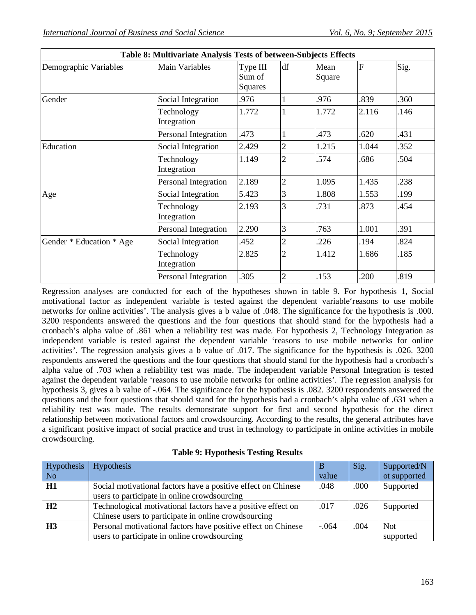٦

| <b>Table 8: Multivariate Analysis Tests of Detween-Subjects Effects</b> |                           |                                      |                |                |       |      |  |  |
|-------------------------------------------------------------------------|---------------------------|--------------------------------------|----------------|----------------|-------|------|--|--|
| Demographic Variables                                                   | <b>Main Variables</b>     | Type III<br>Sum of<br><b>Squares</b> | df             | Mean<br>Square | F     | Sig. |  |  |
| Gender                                                                  | Social Integration        | .976                                 |                | .976           | 839   | .360 |  |  |
|                                                                         | Technology<br>Integration | 1.772                                |                | 1.772          | 2.116 | .146 |  |  |
|                                                                         | Personal Integration      | 473                                  |                | .473           | 620   | .431 |  |  |
| Education                                                               | Social Integration        | 2.429                                | $\overline{2}$ | 1.215          | 1.044 | .352 |  |  |
|                                                                         | Technology<br>Integration | 1.149                                | $\overline{2}$ | .574           | .686  | .504 |  |  |
|                                                                         | Personal Integration      | 2.189                                | $\overline{2}$ | 1.095          | 1.435 | .238 |  |  |
| Age                                                                     | Social Integration        | 5.423                                | 3              | 1.808          | 1.553 | .199 |  |  |
|                                                                         | Technology<br>Integration | 2.193                                | 3              | .731           | 873   | .454 |  |  |
|                                                                         | Personal Integration      | 2.290                                | 3              | .763           | 1.001 | .391 |  |  |
| Gender * Education * Age                                                | Social Integration        | 452                                  | $\overline{c}$ | .226           | .194  | 824  |  |  |
|                                                                         | Technology<br>Integration | 2.825                                | $\overline{2}$ | 1.412          | 1.686 | .185 |  |  |
|                                                                         | Personal Integration      | .305                                 | $\overline{2}$ | .153           | 200   | .819 |  |  |

|  | Table 8: Multivariate Analysis Tests of between-Subjects Effects |
|--|------------------------------------------------------------------|
|--|------------------------------------------------------------------|

Regression analyses are conducted for each of the hypotheses shown in table 9. For hypothesis 1, Social motivational factor as independent variable is tested against the dependent variable'reasons to use mobile networks for online activities'. The analysis gives a b value of .048. The significance for the hypothesis is .000. 3200 respondents answered the questions and the four questions that should stand for the hypothesis had a cronbach's alpha value of .861 when a reliability test was made. For hypothesis 2, Technology Integration as independent variable is tested against the dependent variable 'reasons to use mobile networks for online activities'. The regression analysis gives a b value of .017. The significance for the hypothesis is .026. 3200 respondents answered the questions and the four questions that should stand for the hypothesis had a cronbach's alpha value of .703 when a reliability test was made. The independent variable Personal Integration is tested against the dependent variable 'reasons to use mobile networks for online activities'. The regression analysis for hypothesis 3, gives a b value of -.064. The significance for the hypothesis is .082, 3200 respondents answered the questions and the four questions that should stand for the hypothesis had a cronbach's alpha value of .631 when a reliability test was made. The results demonstrate support for first and second hypothesis for the direct relationship between motivational factors and crowdsourcing. According to the results, the general attributes have a significant positive impact of social practice and trust in technology to participate in online activities in mobile crowdsourcing.

|  | <b>Table 9: Hypothesis Testing Results</b> |  |  |
|--|--------------------------------------------|--|--|
|--|--------------------------------------------|--|--|

| Hypothesis                  | Hypothesis                                                    |         | Sig. | Supported/N  |
|-----------------------------|---------------------------------------------------------------|---------|------|--------------|
| $\overline{\phantom{a}}$ No |                                                               | value   |      | ot supported |
| H1                          | Social motivational factors have a positive effect on Chinese | .048    | .000 | Supported    |
|                             | users to participate in online crowdsourcing                  |         |      |              |
| H <sub>2</sub>              | Technological motivational factors have a positive effect on  | .017    | .026 | Supported    |
|                             | Chinese users to participate in online crowdsourcing          |         |      |              |
| H <sub>3</sub>              | Personal motivational factors have positive effect on Chinese | $-.064$ | .004 | <b>Not</b>   |
|                             | users to participate in online crowdsourcing                  |         |      | supported    |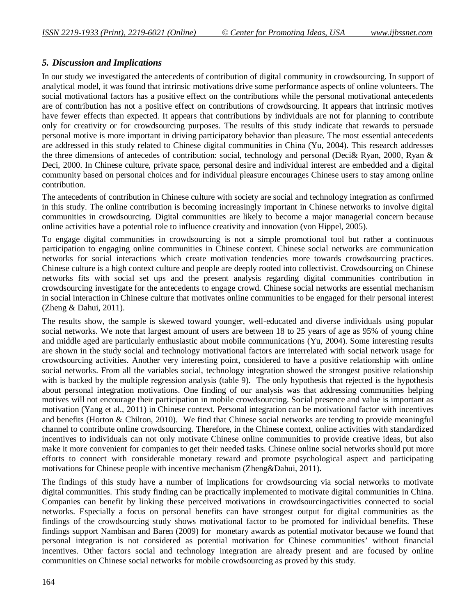### *5. Discussion and Implications*

In our study we investigated the antecedents of contribution of digital community in crowdsourcing. In support of analytical model, it was found that intrinsic motivations drive some performance aspects of online volunteers. The social motivational factors has a positive effect on the contributions while the personal motivational antecedents are of contribution has not a positive effect on contributions of crowdsourcing. It appears that intrinsic motives have fewer effects than expected. It appears that contributions by individuals are not for planning to contribute only for creativity or for crowdsourcing purposes. The results of this study indicate that rewards to persuade personal motive is more important in driving participatory behavior than pleasure. The most essential antecedents are addressed in this study related to Chinese digital communities in China (Yu, 2004). This research addresses the three dimensions of antecedes of contribution: social, technology and personal (Deci& Ryan, 2000, Ryan & Deci, 2000. In Chinese culture, private space, personal desire and individual interest are embedded and a digital community based on personal choices and for individual pleasure encourages Chinese users to stay among online contribution.

The antecedents of contribution in Chinese culture with society are social and technology integration as confirmed in this study. The online contribution is becoming increasingly important in Chinese networks to involve digital communities in crowdsourcing. Digital communities are likely to become a major managerial concern because online activities have a potential role to influence creativity and innovation (von Hippel, 2005).

To engage digital communities in crowdsourcing is not a simple promotional tool but rather a continuous participation to engaging online communities in Chinese context. Chinese social networks are communication networks for social interactions which create motivation tendencies more towards crowdsourcing practices. Chinese culture is a high context culture and people are deeply rooted into collectivist. Crowdsourcing on Chinese networks fits with social set ups and the present analysis regarding digital communities contribution in crowdsourcing investigate for the antecedents to engage crowd. Chinese social networks are essential mechanism in social interaction in Chinese culture that motivates online communities to be engaged for their personal interest (Zheng & Dahui, 2011).

The results show, the sample is skewed toward younger, well-educated and diverse individuals using popular social networks. We note that largest amount of users are between 18 to 25 years of age as 95% of young chine and middle aged are particularly enthusiastic about mobile communications (Yu, 2004). Some interesting results are shown in the study social and technology motivational factors are interrelated with social network usage for crowdsourcing activities. Another very interesting point, considered to have a positive relationship with online social networks. From all the variables social, technology integration showed the strongest positive relationship with is backed by the multiple regression analysis (table 9). The only hypothesis that rejected is the hypothesis about personal integration motivations. One finding of our analysis was that addressing communities helping motives will not encourage their participation in mobile crowdsourcing. Social presence and value is important as motivation (Yang et al., 2011) in Chinese context. Personal integration can be motivational factor with incentives and benefits (Horton & Chilton, 2010). We find that Chinese social networks are tending to provide meaningful channel to contribute online crowdsourcing. Therefore, in the Chinese context, online activities with standardized incentives to individuals can not only motivate Chinese online communities to provide creative ideas, but also make it more convenient for companies to get their needed tasks. Chinese online social networks should put more efforts to connect with considerable monetary reward and promote psychological aspect and participating motivations for Chinese people with incentive mechanism (Zheng&Dahui, 2011).

The findings of this study have a number of implications for crowdsourcing via social networks to motivate digital communities. This study finding can be practically implemented to motivate digital communities in China. Companies can benefit by linking these perceived motivations in crowdsourcingactivities connected to social networks. Especially a focus on personal benefits can have strongest output for digital communities as the findings of the crowdsourcing study shows motivational factor to be promoted for individual benefits. These findings support Nambisan and Baren (2009) for monetary awards as potential motivator because we found that personal integration is not considered as potential motivation for Chinese communities' without financial incentives. Other factors social and technology integration are already present and are focused by online communities on Chinese social networks for mobile crowdsourcing as proved by this study.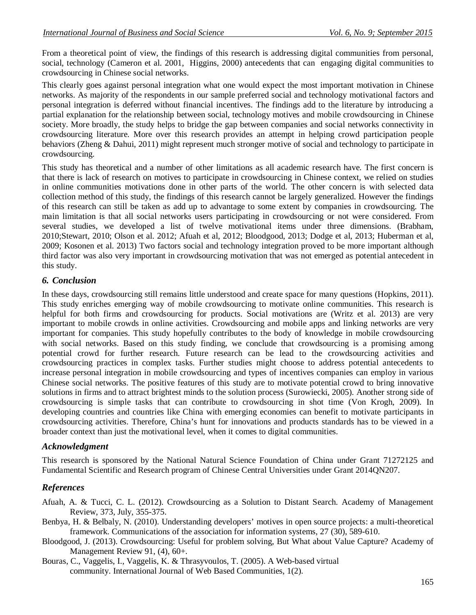From a theoretical point of view, the findings of this research is addressing digital communities from personal, social, technology (Cameron et al. 2001, Higgins, 2000) antecedents that can engaging digital communities to crowdsourcing in Chinese social networks.

This clearly goes against personal integration what one would expect the most important motivation in Chinese networks. As majority of the respondents in our sample preferred social and technology motivational factors and personal integration is deferred without financial incentives. The findings add to the literature by introducing a partial explanation for the relationship between social, technology motives and mobile crowdsourcing in Chinese society. More broadly, the study helps to bridge the gap between companies and social networks connectivity in crowdsourcing literature. More over this research provides an attempt in helping crowd participation people behaviors (Zheng & Dahui, 2011) might represent much stronger motive of social and technology to participate in crowdsourcing.

This study has theoretical and a number of other limitations as all academic research have. The first concern is that there is lack of research on motives to participate in crowdsourcing in Chinese context, we relied on studies in online communities motivations done in other parts of the world. The other concern is with selected data collection method of this study, the findings of this research cannot be largely generalized. However the findings of this research can still be taken as add up to advantage to some extent by companies in crowdsourcing. The main limitation is that all social networks users participating in crowdsourcing or not were considered. From several studies, we developed a list of twelve motivational items under three dimensions. (Brabham, 2010;Stewart, 2010; Olson et al. 2012; Afuah et al, 2012; Bloodgood, 2013; Dodge et al, 2013; Huberman et al, 2009; Kosonen et al. 2013) Two factors social and technology integration proved to be more important although third factor was also very important in crowdsourcing motivation that was not emerged as potential antecedent in this study.

# *6. Conclusion*

In these days, crowdsourcing still remains little understood and create space for many questions (Hopkins, 2011). This study enriches emerging way of mobile crowdsourcing to motivate online communities. This research is helpful for both firms and crowdsourcing for products. Social motivations are (Writz et al. 2013) are very important to mobile crowds in online activities. Crowdsourcing and mobile apps and linking networks are very important for companies. This study hopefully contributes to the body of knowledge in mobile crowdsourcing with social networks. Based on this study finding, we conclude that crowdsourcing is a promising among potential crowd for further research. Future research can be lead to the crowdsourcing activities and crowdsourcing practices in complex tasks. Further studies might choose to address potential antecedents to increase personal integration in mobile crowdsourcing and types of incentives companies can employ in various Chinese social networks. The positive features of this study are to motivate potential crowd to bring innovative solutions in firms and to attract brightest minds to the solution process (Surowiecki, 2005). Another strong side of crowdsourcing is simple tasks that can contribute to crowdsourcing in shot time (Von Krogh, 2009). In developing countries and countries like China with emerging economies can benefit to motivate participants in crowdsourcing activities. Therefore, China's hunt for innovations and products standards has to be viewed in a broader context than just the motivational level, when it comes to digital communities.

# *Acknowledgment*

This research is sponsored by the National Natural Science Foundation of China under Grant 71272125 and Fundamental Scientific and Research program of Chinese Central Universities under Grant 2014QN207.

# *References*

Afuah, A. & Tucci, C. L. (2012). Crowdsourcing as a Solution to Distant Search. Academy of Management Review, 373, July, 355-375.

- Benbya, H. & Belbaly, N. (2010). Understanding developers' motives in open source projects: a multi-theoretical framework. Communications of the association for information systems, 27 (30), 589-610.
- Bloodgood, J. (2013). Crowdsourcing: Useful for problem solving, But What about Value Capture? Academy of Management Review 91, (4), 60+.

Bouras, C., Vaggelis, I., Vaggelis, K. & Thrasyvoulos, T. (2005). A Web-based virtual community. International Journal of Web Based Communities, 1(2).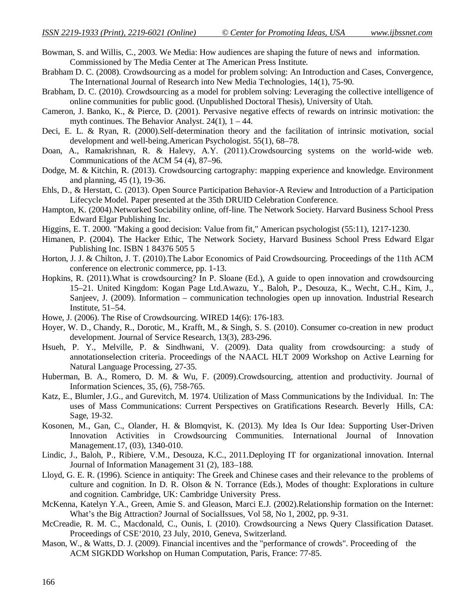Bowman, S. and Willis, C., 2003. We Media: How audiences are shaping the future of news and information. Commissioned by The Media Center at The American Press Institute.

- Brabham D. C. (2008). Crowdsourcing as a model for problem solving: An Introduction and Cases, Convergence, The International Journal of Research into New Media Technologies, 14(1), 75-90.
- Brabham, D. C. (2010). Crowdsourcing as a model for problem solving: Leveraging the collective intelligence of online communities for public good. (Unpublished Doctoral Thesis), University of Utah.
- Cameron, J. Banko, K., & Pierce, D. (2001). Pervasive negative effects of rewards on intrinsic motivation: the myth continues. The Behavior Analyst.  $24(1)$ ,  $1 - 44$ .
- Deci, E. L. & Ryan, R. (2000).Self-determination theory and the facilitation of intrinsic motivation, social development and well-being.American Psychologist. 55(1), 68–78.
- Doan, A., Ramakrishnan, R. & Halevy, A.Y. (2011).Crowdsourcing systems on the world-wide web. Communications of the ACM 54 (4), 87–96.
- Dodge, M. & Kitchin, R. (2013). Crowdsourcing cartography: mapping experience and knowledge. Environment and planning, 45 (1), 19-36.
- Ehls, D., & Herstatt, C. (2013). Open Source Participation Behavior-A Review and Introduction of a Participation Lifecycle Model. Paper presented at the 35th DRUID Celebration Conference.
- Hampton, K. (2004).Networked Sociability online, off-line. The Network Society. Harvard Business School Press Edward Elgar Publishing Inc.
- Higgins, E. T. 2000. "Making a good decision: Value from fit," American psychologist (55:11), 1217-1230.
- Himanen, P. (2004). The Hacker Ethic, The Network Society, Harvard Business School Press Edward Elgar Publishing Inc. ISBN 1 84376 505 5
- Horton, J. J. & Chilton, J. T. (2010).The Labor Economics of Paid Crowdsourcing. Proceedings of the 11th ACM conference on electronic commerce, pp. 1-13.
- Hopkins, R. (2011).What is crowdsourcing? In P. Sloane (Ed.), A guide to open innovation and crowdsourcing 15–21. United Kingdom: Kogan Page Ltd.Awazu, Y., Baloh, P., Desouza, K., Wecht, C.H., Kim, J., Sanjeev, J. (2009). Information – communication technologies open up innovation. Industrial Research Institute, 51–54.
- Howe, J. (2006). The Rise of Crowdsourcing. WIRED 14(6): 176-183.
- Hoyer, W. D., Chandy, R., Dorotic, M., Krafft, M., & Singh, S. S. (2010). Consumer co-creation in new product development. Journal of Service Research, 13(3), 283-296.
- Hsueh, P. Y., Melville, P. & Sindhwani, V. (2009). Data quality from crowdsourcing: a study of annotationselection criteria. Proceedings of the NAACL HLT 2009 Workshop on Active Learning for Natural Language Processing, 27-35.
- Huberman, B. A., Romero, D. M. & Wu, F. (2009).Crowdsourcing, attention and productivity. Journal of Information Sciences, 35, (6), 758-765.
- Katz, E., Blumler, J.G., and Gurevitch, M. 1974. Utilization of Mass Communications by the Individual. In: The uses of Mass Communications: Current Perspectives on Gratifications Research. Beverly Hills, CA: Sage, 19-32.
- Kosonen, M., Gan, C., Olander, H. & Blomqvist, K. (2013). My Idea Is Our Idea: Supporting User-Driven Innovation Activities in Crowdsourcing Communities. International Journal of Innovation Management.17, (03), 1340-010.
- Lindic, J., Baloh, P., Ribiere, V.M., Desouza, K.C., 2011.Deploying IT for organizational innovation. Internal Journal of Information Management 31 (2), 183–188.
- Lloyd, G. E. R. (1996). Science in antiquity: The Greek and Chinese cases and their relevance to the problems of culture and cognition. In D. R. Olson & N. Torrance (Eds.), Modes of thought: Explorations in culture and cognition. Cambridge, UK: Cambridge University Press.
- McKenna, Katelyn Y.A., Green, Amie S. and Gleason, Marci E.J. (2002).Relationship formation on the Internet: What's the Big Attraction? Journal of SocialIssues, Vol 58, No 1, 2002, pp. 9-31.
- McCreadie, R. M. C., Macdonald, C., Ounis, I. (2010). Crowdsourcing a News Query Classification Dataset. Proceedings of CSE'2010, 23 July, 2010, Geneva, Switzerland.
- Mason, W., & Watts, D. J. (2009). Financial incentives and the "performance of crowds". Proceeding of the ACM SIGKDD Workshop on Human Computation, Paris, France: 77-85.